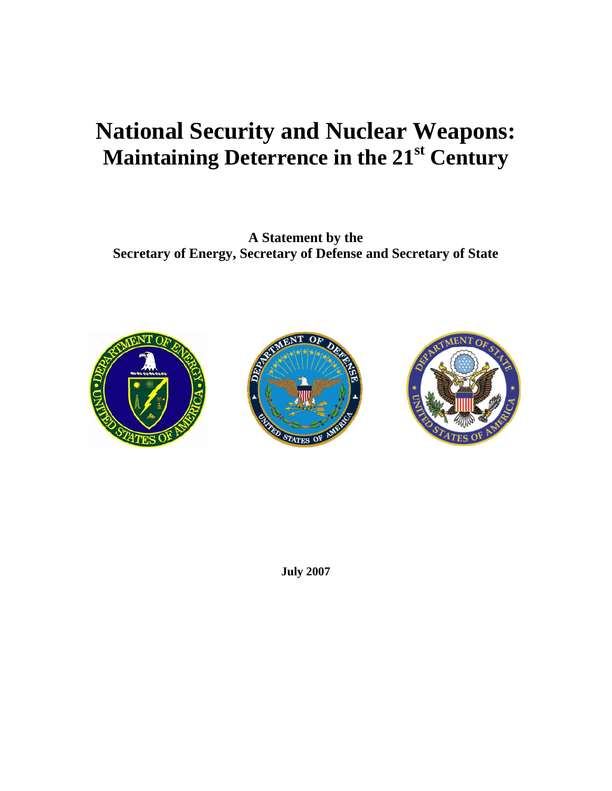## **National Security and Nuclear Weapons: Maintaining Deterrence in the 21st Century**

**A Statement by the Secretary of Energy, Secretary of Defense and Secretary of State** 







**July 2007**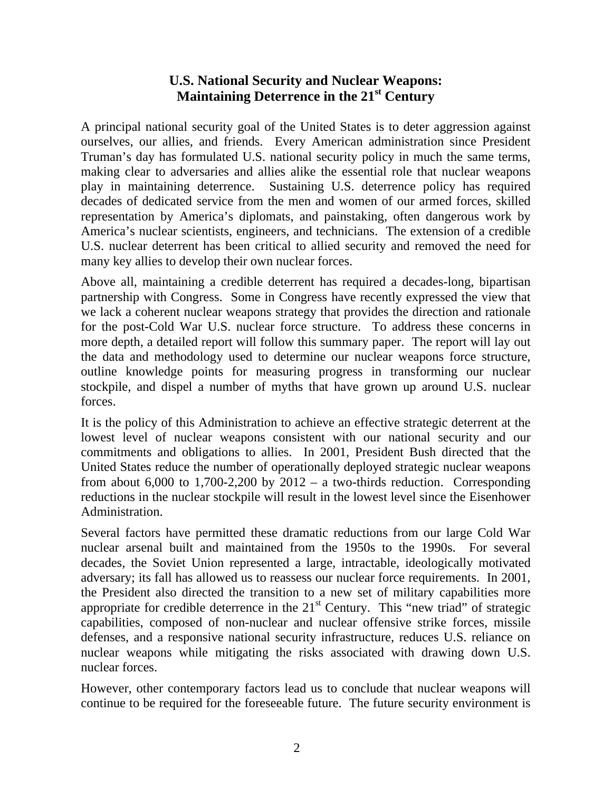## **U.S. National Security and Nuclear Weapons: Maintaining Deterrence in the 21st Century**

A principal national security goal of the United States is to deter aggression against ourselves, our allies, and friends. Every American administration since President Truman's day has formulated U.S. national security policy in much the same terms, making clear to adversaries and allies alike the essential role that nuclear weapons play in maintaining deterrence. Sustaining U.S. deterrence policy has required decades of dedicated service from the men and women of our armed forces, skilled representation by America's diplomats, and painstaking, often dangerous work by America's nuclear scientists, engineers, and technicians. The extension of a credible U.S. nuclear deterrent has been critical to allied security and removed the need for many key allies to develop their own nuclear forces.

Above all, maintaining a credible deterrent has required a decades-long, bipartisan partnership with Congress. Some in Congress have recently expressed the view that we lack a coherent nuclear weapons strategy that provides the direction and rationale for the post-Cold War U.S. nuclear force structure. To address these concerns in more depth, a detailed report will follow this summary paper. The report will lay out the data and methodology used to determine our nuclear weapons force structure, outline knowledge points for measuring progress in transforming our nuclear stockpile, and dispel a number of myths that have grown up around U.S. nuclear forces.

It is the policy of this Administration to achieve an effective strategic deterrent at the lowest level of nuclear weapons consistent with our national security and our commitments and obligations to allies. In 2001, President Bush directed that the United States reduce the number of operationally deployed strategic nuclear weapons from about 6,000 to 1,700-2,200 by  $2012 - a$  two-thirds reduction. Corresponding reductions in the nuclear stockpile will result in the lowest level since the Eisenhower Administration.

Several factors have permitted these dramatic reductions from our large Cold War nuclear arsenal built and maintained from the 1950s to the 1990s. For several decades, the Soviet Union represented a large, intractable, ideologically motivated adversary; its fall has allowed us to reassess our nuclear force requirements. In 2001, the President also directed the transition to a new set of military capabilities more appropriate for credible deterrence in the  $21<sup>st</sup>$  Century. This "new triad" of strategic capabilities, composed of non-nuclear and nuclear offensive strike forces, missile defenses, and a responsive national security infrastructure, reduces U.S. reliance on nuclear weapons while mitigating the risks associated with drawing down U.S. nuclear forces.

However, other contemporary factors lead us to conclude that nuclear weapons will continue to be required for the foreseeable future. The future security environment is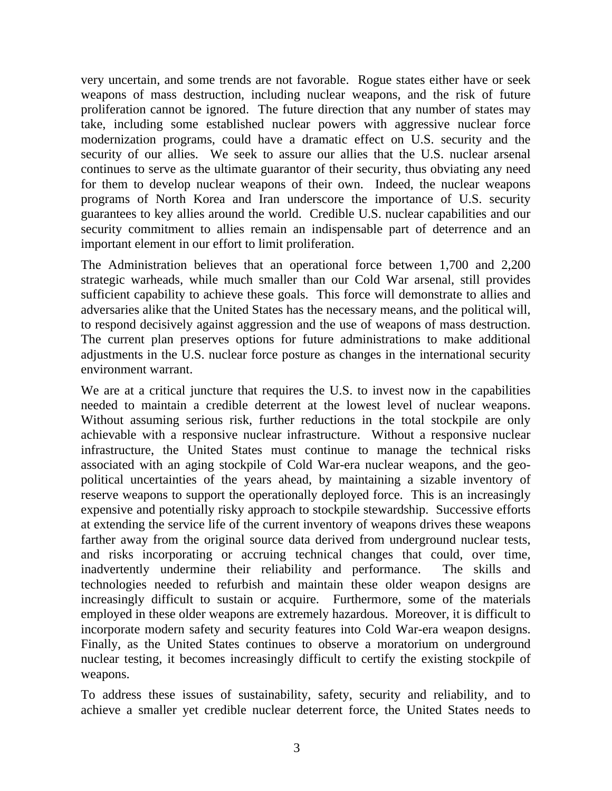very uncertain, and some trends are not favorable. Rogue states either have or seek weapons of mass destruction, including nuclear weapons, and the risk of future proliferation cannot be ignored. The future direction that any number of states may take, including some established nuclear powers with aggressive nuclear force modernization programs, could have a dramatic effect on U.S. security and the security of our allies. We seek to assure our allies that the U.S. nuclear arsenal continues to serve as the ultimate guarantor of their security, thus obviating any need for them to develop nuclear weapons of their own. Indeed, the nuclear weapons programs of North Korea and Iran underscore the importance of U.S. security guarantees to key allies around the world. Credible U.S. nuclear capabilities and our security commitment to allies remain an indispensable part of deterrence and an important element in our effort to limit proliferation.

The Administration believes that an operational force between 1,700 and 2,200 strategic warheads, while much smaller than our Cold War arsenal, still provides sufficient capability to achieve these goals. This force will demonstrate to allies and adversaries alike that the United States has the necessary means, and the political will, to respond decisively against aggression and the use of weapons of mass destruction. The current plan preserves options for future administrations to make additional adjustments in the U.S. nuclear force posture as changes in the international security environment warrant.

We are at a critical juncture that requires the U.S. to invest now in the capabilities needed to maintain a credible deterrent at the lowest level of nuclear weapons. Without assuming serious risk, further reductions in the total stockpile are only achievable with a responsive nuclear infrastructure. Without a responsive nuclear infrastructure, the United States must continue to manage the technical risks associated with an aging stockpile of Cold War-era nuclear weapons, and the geopolitical uncertainties of the years ahead, by maintaining a sizable inventory of reserve weapons to support the operationally deployed force. This is an increasingly expensive and potentially risky approach to stockpile stewardship. Successive efforts at extending the service life of the current inventory of weapons drives these weapons farther away from the original source data derived from underground nuclear tests, and risks incorporating or accruing technical changes that could, over time, inadvertently undermine their reliability and performance. The skills and technologies needed to refurbish and maintain these older weapon designs are increasingly difficult to sustain or acquire. Furthermore, some of the materials employed in these older weapons are extremely hazardous. Moreover, it is difficult to incorporate modern safety and security features into Cold War-era weapon designs. Finally, as the United States continues to observe a moratorium on underground nuclear testing, it becomes increasingly difficult to certify the existing stockpile of weapons.

To address these issues of sustainability, safety, security and reliability, and to achieve a smaller yet credible nuclear deterrent force, the United States needs to